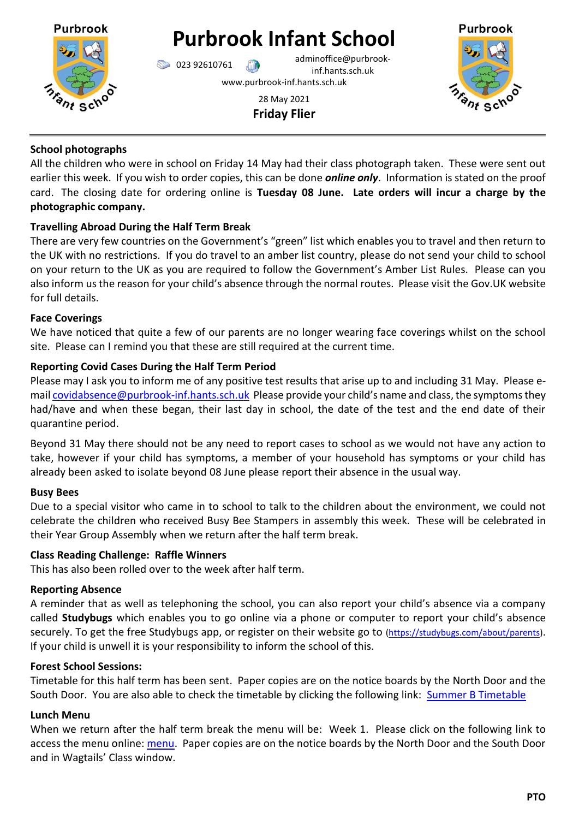

# **Purbrook Infant School**

023 92610761 adminoffice@purbrookinf.hants.sch.uk www.purbrook-inf.hants.sch.uk

> 28 May 2021 **Friday Flier**



## **School photographs**

All the children who were in school on Friday 14 May had their class photograph taken. These were sent out earlier this week. If you wish to order copies, this can be done *online only*. Information is stated on the proof card. The closing date for ordering online is **Tuesday 08 June. Late orders will incur a charge by the photographic company.** 

# **Travelling Abroad During the Half Term Break**

There are very few countries on the Government's "green" list which enables you to travel and then return to the UK with no restrictions. If you do travel to an amber list country, please do not send your child to school on your return to the UK as you are required to follow the Government's Amber List Rules. Please can you also inform us the reason for your child's absence through the normal routes. Please visit the Gov.UK website for full details.

# **Face Coverings**

We have noticed that quite a few of our parents are no longer wearing face coverings whilst on the school site. Please can I remind you that these are still required at the current time.

# **Reporting Covid Cases During the Half Term Period**

Please may I ask you to inform me of any positive test results that arise up to and including 31 May. Please emai[l covidabsence@purbrook-inf.hants.sch.uk](mailto:covidabsence@purbrook-inf.hants.sch.uk) Please provide your child's name and class, the symptoms they had/have and when these began, their last day in school, the date of the test and the end date of their quarantine period.

Beyond 31 May there should not be any need to report cases to school as we would not have any action to take, however if your child has symptoms, a member of your household has symptoms or your child has already been asked to isolate beyond 08 June please report their absence in the usual way.

# **Busy Bees**

Due to a special visitor who came in to school to talk to the children about the environment, we could not celebrate the children who received Busy Bee Stampers in assembly this week. These will be celebrated in their Year Group Assembly when we return after the half term break.

## **Class Reading Challenge: Raffle Winners**

This has also been rolled over to the week after half term.

## **Reporting Absence**

A reminder that as well as telephoning the school, you can also report your child's absence via a company called **Studybugs** which enables you to go online via a phone or computer to report your child's absence securely. To get the free Studybugs app, or register on their website go to [\(https://studybugs.com/about/parents\)](https://studybugs.com/about/parents). If your child is unwell it is your responsibility to inform the school of this.

## **Forest School Sessions:**

Timetable for this half term has been sent. Paper copies are on the notice boards by the North Door and the South Door. You are also able to check the timetable by clicking the following link: [Summer B Timetable](https://www.purbrook-inf.hants.sch.uk/wp-content/uploads/2021/05/Forest-School-timetable-Summer-B-2021.pdf)

## **Lunch Menu**

When we return after the half term break the menu will be: Week 1. Please click on the following link to access the menu online: [menu.](https://www.purbrook-inf.hants.sch.uk/school-dinners) Paper copies are on the notice boards by the North Door and the South Door and in Wagtails' Class window.